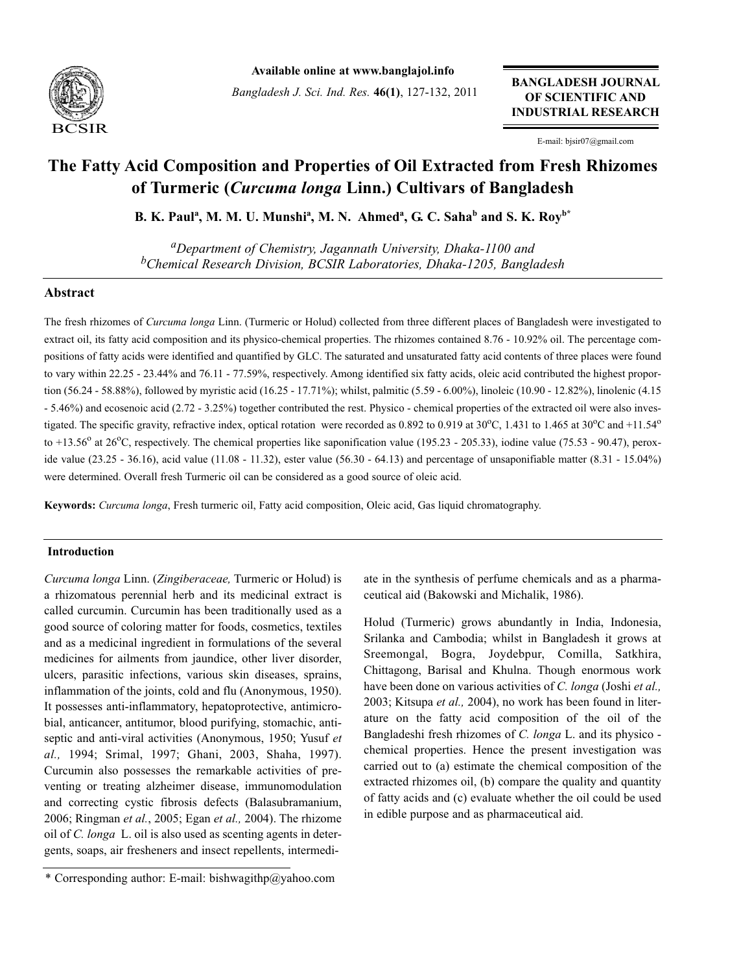

**Available online at www.banglajol.info**

*Bangladesh J. Sci. Ind. Res.* **46(1)**, 127-132, 2011

**BANGLADESH JOURNAL OF SCIENTIFIC AND INDUSTRIAL RESEARCH**

E-mail: bjsir07@gmail.com

# **The Fatty Acid Composition and Properties of Oil Extracted from Fresh Rhizomes of Turmeric (***Curcuma longa* **Linn.) Cultivars of Bangladesh**

**B. K. Paul<sup>a</sup>, M. M. U. Munshi<sup>a</sup>, M. N. Ahmed<sup>a</sup>, G. C. Saha<sup>b</sup> and S. K. Roy<sup>b\*</sup>** 

*aDepartment of Chemistry, Jagannath University, Dhaka-1100 and bChemical Research Division, BCSIR Laboratories, Dhaka-1205, Bangladesh*

# **Abstract**

The fresh rhizomes of *Curcuma longa* Linn. (Turmeric or Holud) collected from three different places of Bangladesh were investigated to extract oil, its fatty acid composition and its physico-chemical properties. The rhizomes contained 8.76 - 10.92% oil. The percentage compositions of fatty acids were identified and quantified by GLC. The saturated and unsaturated fatty acid contents of three places were found to vary within 22.25 - 23.44% and 76.11 - 77.59%, respectively. Among identified six fatty acids, oleic acid contributed the highest proportion (56.24 - 58.88%), followed by myristic acid (16.25 - 17.71%); whilst, palmitic (5.59 - 6.00%), linoleic (10.90 - 12.82%), linolenic (4.15 - 5.46%) and ecosenoic acid (2.72 - 3.25%) together contributed the rest. Physico - chemical properties of the extracted oil were also investigated. The specific gravity, refractive index, optical rotation were recorded as 0.892 to 0.919 at 30<sup>o</sup>C, 1.431 to 1.465 at 30<sup>o</sup>C and +11.54<sup>o</sup> to +13.56 $^{\circ}$  at 26 $^{\circ}$ C, respectively. The chemical properties like saponification value (195.23 - 205.33), iodine value (75.53 - 90.47), peroxide value (23.25 - 36.16), acid value (11.08 - 11.32), ester value (56.30 - 64.13) and percentage of unsaponifiable matter (8.31 - 15.04%) were determined. Overall fresh Turmeric oil can be considered as a good source of oleic acid.

**Keywords:** *Curcuma longa*, Fresh turmeric oil, Fatty acid composition, Oleic acid, Gas liquid chromatography.

## **Introduction**

*Curcuma longa* Linn. (*Zingiberaceae,* Turmeric or Holud) is a rhizomatous perennial herb and its medicinal extract is called curcumin. Curcumin has been traditionally used as a good source of coloring matter for foods, cosmetics, textiles and as a medicinal ingredient in formulations of the several medicines for ailments from jaundice, other liver disorder, ulcers, parasitic infections, various skin diseases, sprains, inflammation of the joints, cold and flu (Anonymous, 1950). It possesses anti-inflammatory, hepatoprotective, antimicrobial, anticancer, antitumor, blood purifying, stomachic, antiseptic and anti-viral activities (Anonymous, 1950; Yusuf *et al.,* 1994; Srimal, 1997; Ghani, 2003, Shaha, 1997). Curcumin also possesses the remarkable activities of preventing or treating alzheimer disease, immunomodulation and correcting cystic fibrosis defects (Balasubramanium, 2006; Ringman *et al.*, 2005; Egan *et al.,* 2004). The rhizome oil of *C. longa* L. oil is also used as scenting agents in detergents, soaps, air fresheners and insect repellents, intermediate in the synthesis of perfume chemicals and as a pharmaceutical aid (Bakowski and Michalik, 1986).

Holud (Turmeric) grows abundantly in India, Indonesia, Srilanka and Cambodia; whilst in Bangladesh it grows at Sreemongal, Bogra, Joydebpur, Comilla, Satkhira, Chittagong, Barisal and Khulna. Though enormous work have been done on various activities of *C. longa* (Joshi *et al.,* 2003; Kitsupa *et al.,* 2004), no work has been found in literature on the fatty acid composition of the oil of the Bangladeshi fresh rhizomes of *C. longa* L. and its physico chemical properties. Hence the present investigation was carried out to (a) estimate the chemical composition of the extracted rhizomes oil, (b) compare the quality and quantity of fatty acids and (c) evaluate whether the oil could be used in edible purpose and as pharmaceutical aid.

<sup>\*</sup> Corresponding author: E-mail: bishwagithp@yahoo.com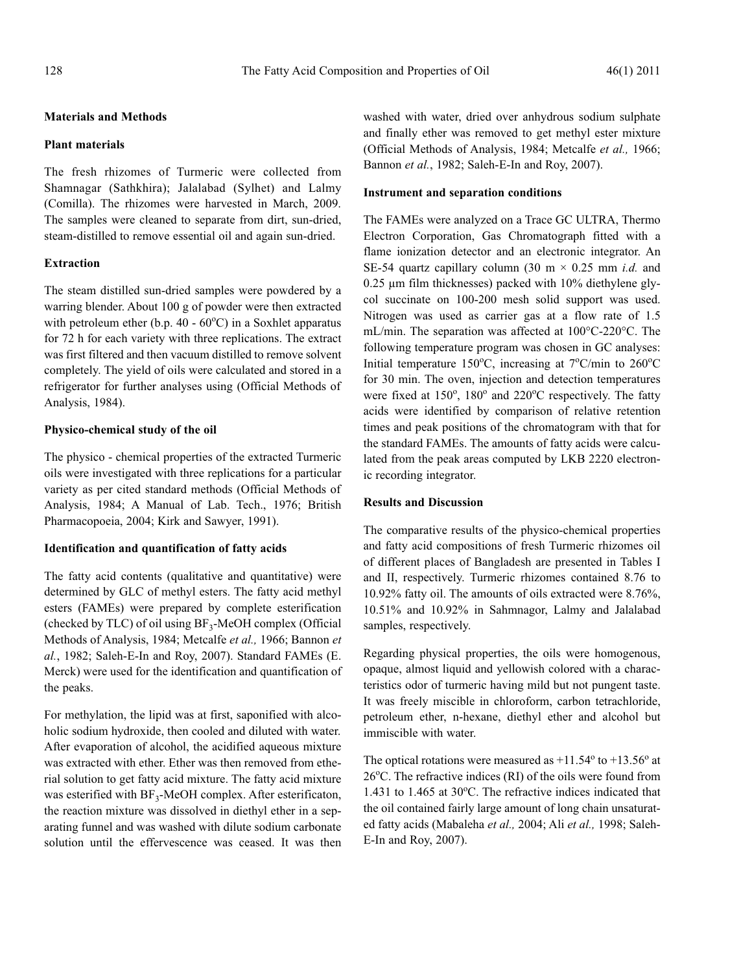# **Materials and Methods**

# **Plant materials**

The fresh rhizomes of Turmeric were collected from Shamnagar (Sathkhira); Jalalabad (Sylhet) and Lalmy (Comilla). The rhizomes were harvested in March, 2009. The samples were cleaned to separate from dirt, sun-dried, steam-distilled to remove essential oil and again sun-dried.

## **Extraction**

The steam distilled sun-dried samples were powdered by a warring blender. About 100 g of powder were then extracted with petroleum ether (b.p.  $40 - 60^{\circ}$ C) in a Soxhlet apparatus for 72 h for each variety with three replications. The extract was first filtered and then vacuum distilled to remove solvent completely. The yield of oils were calculated and stored in a refrigerator for further analyses using (Official Methods of Analysis, 1984).

## **Physico-chemical study of the oil**

The physico - chemical properties of the extracted Turmeric oils were investigated with three replications for a particular variety as per cited standard methods (Official Methods of Analysis, 1984; A Manual of Lab. Tech., 1976; British Pharmacopoeia, 2004; Kirk and Sawyer, 1991).

## **Identification and quantification of fatty acids**

The fatty acid contents (qualitative and quantitative) were determined by GLC of methyl esters. The fatty acid methyl esters (FAMEs) were prepared by complete esterification (checked by TLC) of oil using  $BF_3$ -MeOH complex (Official Methods of Analysis, 1984; Metcalfe *et al.,* 1966; Bannon *et al.*, 1982; Saleh-E-In and Roy, 2007). Standard FAMEs (E. Merck) were used for the identification and quantification of the peaks.

For methylation, the lipid was at first, saponified with alcoholic sodium hydroxide, then cooled and diluted with water. After evaporation of alcohol, the acidified aqueous mixture was extracted with ether. Ether was then removed from etherial solution to get fatty acid mixture. The fatty acid mixture was esterified with  $BF_3$ -MeOH complex. After esterificaton, the reaction mixture was dissolved in diethyl ether in a separating funnel and was washed with dilute sodium carbonate solution until the effervescence was ceased. It was then washed with water, dried over anhydrous sodium sulphate and finally ether was removed to get methyl ester mixture (Official Methods of Analysis, 1984; Metcalfe *et al.,* 1966; Bannon *et al.*, 1982; Saleh-E-In and Roy, 2007).

### **Instrument and separation conditions**

The FAMEs were analyzed on a Trace GC ULTRA, Thermo Electron Corporation, Gas Chromatograph fitted with a flame ionization detector and an electronic integrator. An SE-54 quartz capillary column (30 m × 0.25 mm *i.d.* and 0.25 µm film thicknesses) packed with 10% diethylene glycol succinate on 100-200 mesh solid support was used. Nitrogen was used as carrier gas at a flow rate of 1.5 mL/min. The separation was affected at 100°C-220°C. The following temperature program was chosen in GC analyses: Initial temperature 150°C, increasing at 7°C/min to 260°C for 30 min. The oven, injection and detection temperatures were fixed at 150°, 180° and 220°C respectively. The fatty acids were identified by comparison of relative retention times and peak positions of the chromatogram with that for the standard FAMEs. The amounts of fatty acids were calculated from the peak areas computed by LKB 2220 electronic recording integrator.

#### **Results and Discussion**

The comparative results of the physico-chemical properties and fatty acid compositions of fresh Turmeric rhizomes oil of different places of Bangladesh are presented in Tables I and II, respectively. Turmeric rhizomes contained 8.76 to 10.92% fatty oil. The amounts of oils extracted were 8.76%, 10.51% and 10.92% in Sahmnagor, Lalmy and Jalalabad samples, respectively.

Regarding physical properties, the oils were homogenous, opaque, almost liquid and yellowish colored with a characteristics odor of turmeric having mild but not pungent taste. It was freely miscible in chloroform, carbon tetrachloride, petroleum ether, n-hexane, diethyl ether and alcohol but immiscible with water.

The optical rotations were measured as  $+11.54^{\circ}$  to  $+13.56^{\circ}$  at 26°C. The refractive indices (RI) of the oils were found from 1.431 to 1.465 at 30°C. The refractive indices indicated that the oil contained fairly large amount of long chain unsaturated fatty acids (Mabaleha *et al.,* 2004; Ali *et al.,* 1998; Saleh-E-In and Roy, 2007).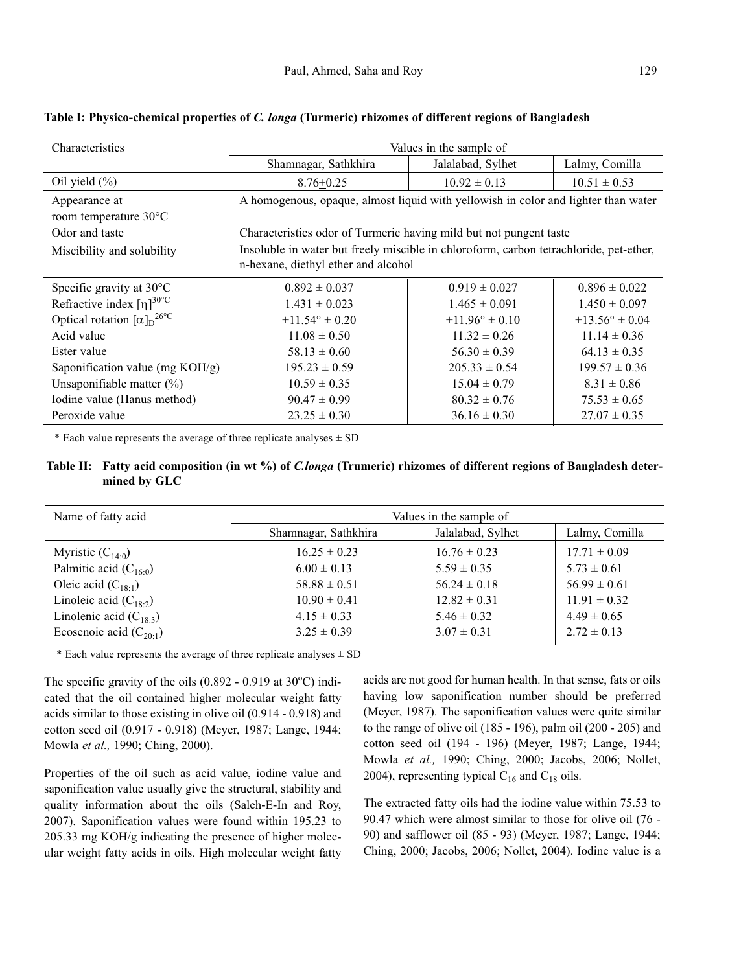| Characteristics                                          | Values in the sample of                                                                |                           |                           |
|----------------------------------------------------------|----------------------------------------------------------------------------------------|---------------------------|---------------------------|
|                                                          | Shamnagar, Sathkhira                                                                   | Jalalabad, Sylhet         | Lalmy, Comilla            |
| Oil yield $(\%)$                                         | $8.76 \pm 0.25$                                                                        | $10.92 \pm 0.13$          | $10.51 \pm 0.53$          |
| Appearance at                                            | A homogenous, opaque, almost liquid with yellowish in color and lighter than water     |                           |                           |
| room temperature 30°C                                    |                                                                                        |                           |                           |
| Odor and taste                                           | Characteristics odor of Turmeric having mild but not pungent taste                     |                           |                           |
| Miscibility and solubility                               | Insoluble in water but freely miscible in chloroform, carbon tetrachloride, pet-ether, |                           |                           |
|                                                          | n-hexane, diethyl ether and alcohol                                                    |                           |                           |
| Specific gravity at $30^{\circ}$ C                       | $0.892 \pm 0.037$                                                                      | $0.919 \pm 0.027$         | $0.896 \pm 0.022$         |
| Refractive index $\lceil \eta \rceil^{30^{\circ}C}$      | $1.431 \pm 0.023$                                                                      | $1.465 \pm 0.091$         | $1.450 \pm 0.097$         |
| Optical rotation $\left[\alpha\right]_D$ <sup>26°C</sup> | $+11.54^{\circ} \pm 0.20$                                                              | $+11.96^{\circ} \pm 0.10$ | $+13.56^{\circ} \pm 0.04$ |
| Acid value                                               | $11.08 \pm 0.50$                                                                       | $11.32 \pm 0.26$          | $11.14 \pm 0.36$          |
| Ester value                                              | $58.13 \pm 0.60$                                                                       | $56.30 \pm 0.39$          | $64.13 \pm 0.35$          |
| Saponification value (mg $KOH/g$ )                       | $195.23 \pm 0.59$                                                                      | $205.33 \pm 0.54$         | $199.57 \pm 0.36$         |
| Unsaponifiable matter $(\%)$                             | $10.59 \pm 0.35$                                                                       | $15.04 \pm 0.79$          | $8.31 \pm 0.86$           |
| Iodine value (Hanus method)                              | $90.47 \pm 0.99$                                                                       | $80.32 \pm 0.76$          | $75.53 \pm 0.65$          |
| Peroxide value                                           | $23.25 \pm 0.30$                                                                       | $36.16 \pm 0.30$          | $27.07 \pm 0.35$          |

**Table I: Physico-chemical properties of** *C. longa* **(Turmeric) rhizomes of different regions of Bangladesh**

\* Each value represents the average of three replicate analyses  $\pm$  SD

# **Table II: Fatty acid composition (in wt %) of** *C.longa* **(Trumeric) rhizomes of different regions of Bangladesh determined by GLC**

| Name of fatty acid          | Values in the sample of |                   |                  |
|-----------------------------|-------------------------|-------------------|------------------|
|                             | Shamnagar, Sathkhira    | Jalalabad, Sylhet | Lalmy, Comilla   |
| Myristic $(C_{140})$        | $16.25 \pm 0.23$        | $16.76 \pm 0.23$  | $17.71 \pm 0.09$ |
| Palmitic acid $(C_{16:0})$  | $6.00 \pm 0.13$         | $5.59 \pm 0.35$   | $5.73 \pm 0.61$  |
| Oleic acid $(C_{18.1})$     | $58.88 \pm 0.51$        | $56.24 \pm 0.18$  | $56.99 \pm 0.61$ |
| Linoleic acid $(C_{18:2})$  | $10.90 \pm 0.41$        | $12.82 \pm 0.31$  | $11.91 \pm 0.32$ |
| Linolenic acid $(C_{18:3})$ | $4.15 \pm 0.33$         | $5.46 \pm 0.32$   | $4.49 \pm 0.65$  |
| Ecosenoic acid $(C_{20.1})$ | $3.25 \pm 0.39$         | $3.07 \pm 0.31$   | $2.72 \pm 0.13$  |

\* Each value represents the average of three replicate analyses  $\pm$  SD

The specific gravity of the oils  $(0.892 - 0.919$  at  $30^{\circ}$ C) indicated that the oil contained higher molecular weight fatty acids similar to those existing in olive oil (0.914 - 0.918) and cotton seed oil (0.917 - 0.918) (Meyer, 1987; Lange, 1944; Mowla *et al.,* 1990; Ching, 2000).

Properties of the oil such as acid value, iodine value and saponification value usually give the structural, stability and quality information about the oils (Saleh-E-In and Roy, 2007). Saponification values were found within 195.23 to 205.33 mg KOH/g indicating the presence of higher molecular weight fatty acids in oils. High molecular weight fatty

acids are not good for human health. In that sense, fats or oils having low saponification number should be preferred (Meyer, 1987). The saponification values were quite similar to the range of olive oil (185 - 196), palm oil (200 - 205) and cotton seed oil (194 - 196) (Meyer, 1987; Lange, 1944; Mowla *et al.,* 1990; Ching, 2000; Jacobs, 2006; Nollet, 2004), representing typical  $C_{16}$  and  $C_{18}$  oils.

The extracted fatty oils had the iodine value within 75.53 to 90.47 which were almost similar to those for olive oil (76 - 90) and safflower oil (85 - 93) (Meyer, 1987; Lange, 1944; Ching, 2000; Jacobs, 2006; Nollet, 2004). Iodine value is a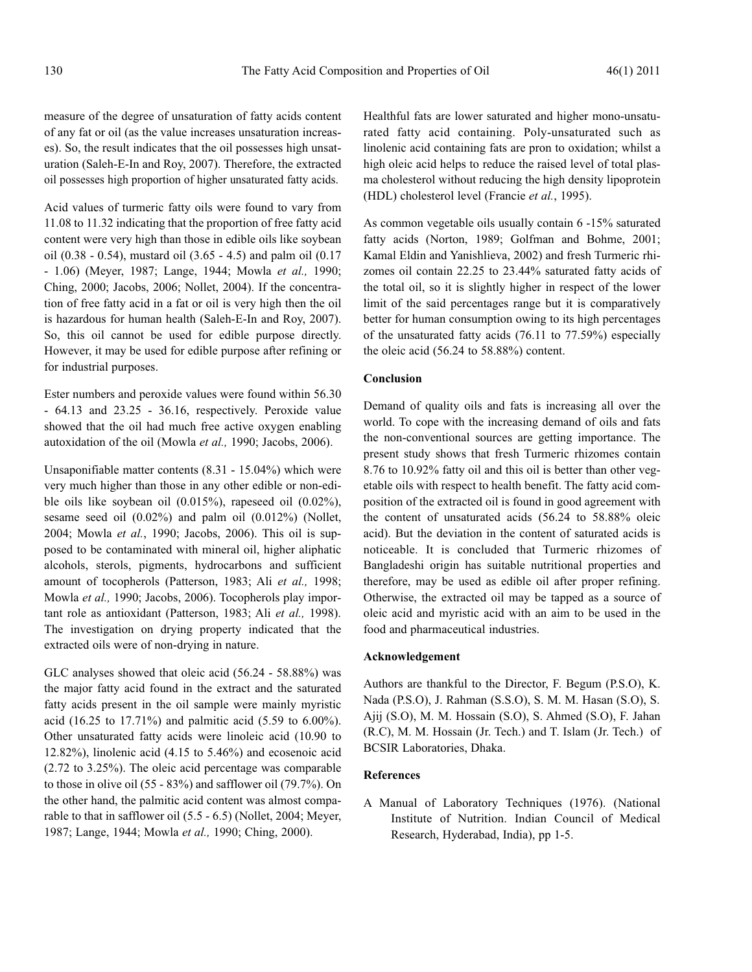measure of the degree of unsaturation of fatty acids content of any fat or oil (as the value increases unsaturation increases). So, the result indicates that the oil possesses high unsaturation (Saleh-E-In and Roy, 2007). Therefore, the extracted oil possesses high proportion of higher unsaturated fatty acids.

Acid values of turmeric fatty oils were found to vary from 11.08 to 11.32 indicating that the proportion of free fatty acid content were very high than those in edible oils like soybean oil (0.38 - 0.54), mustard oil (3.65 - 4.5) and palm oil (0.17 - 1.06) (Meyer, 1987; Lange, 1944; Mowla *et al.,* 1990; Ching, 2000; Jacobs, 2006; Nollet, 2004). If the concentration of free fatty acid in a fat or oil is very high then the oil is hazardous for human health (Saleh-E-In and Roy, 2007). So, this oil cannot be used for edible purpose directly. However, it may be used for edible purpose after refining or for industrial purposes.

Ester numbers and peroxide values were found within 56.30 - 64.13 and 23.25 - 36.16, respectively. Peroxide value showed that the oil had much free active oxygen enabling autoxidation of the oil (Mowla *et al.,* 1990; Jacobs, 2006).

Unsaponifiable matter contents (8.31 - 15.04%) which were very much higher than those in any other edible or non-edible oils like soybean oil (0.015%), rapeseed oil (0.02%), sesame seed oil (0.02%) and palm oil (0.012%) (Nollet, 2004; Mowla *et al.*, 1990; Jacobs, 2006). This oil is supposed to be contaminated with mineral oil, higher aliphatic alcohols, sterols, pigments, hydrocarbons and sufficient amount of tocopherols (Patterson, 1983; Ali *et al.,* 1998; Mowla *et al.,* 1990; Jacobs, 2006). Tocopherols play important role as antioxidant (Patterson, 1983; Ali *et al.,* 1998). The investigation on drying property indicated that the extracted oils were of non-drying in nature.

GLC analyses showed that oleic acid (56.24 - 58.88%) was the major fatty acid found in the extract and the saturated fatty acids present in the oil sample were mainly myristic acid (16.25 to 17.71%) and palmitic acid (5.59 to 6.00%). Other unsaturated fatty acids were linoleic acid (10.90 to 12.82%), linolenic acid (4.15 to 5.46%) and ecosenoic acid (2.72 to 3.25%). The oleic acid percentage was comparable to those in olive oil (55 - 83%) and safflower oil (79.7%). On the other hand, the palmitic acid content was almost comparable to that in safflower oil (5.5 - 6.5) (Nollet, 2004; Meyer, 1987; Lange, 1944; Mowla *et al.,* 1990; Ching, 2000).

Healthful fats are lower saturated and higher mono-unsaturated fatty acid containing. Poly-unsaturated such as linolenic acid containing fats are pron to oxidation; whilst a high oleic acid helps to reduce the raised level of total plasma cholesterol without reducing the high density lipoprotein (HDL) cholesterol level (Francie *et al.*, 1995).

As common vegetable oils usually contain 6 -15% saturated fatty acids (Norton, 1989; Golfman and Bohme, 2001; Kamal Eldin and Yanishlieva, 2002) and fresh Turmeric rhizomes oil contain 22.25 to 23.44% saturated fatty acids of the total oil, so it is slightly higher in respect of the lower limit of the said percentages range but it is comparatively better for human consumption owing to its high percentages of the unsaturated fatty acids (76.11 to 77.59%) especially the oleic acid (56.24 to 58.88%) content.

### **Conclusion**

Demand of quality oils and fats is increasing all over the world. To cope with the increasing demand of oils and fats the non-conventional sources are getting importance. The present study shows that fresh Turmeric rhizomes contain 8.76 to 10.92% fatty oil and this oil is better than other vegetable oils with respect to health benefit. The fatty acid composition of the extracted oil is found in good agreement with the content of unsaturated acids (56.24 to 58.88% oleic acid). But the deviation in the content of saturated acids is noticeable. It is concluded that Turmeric rhizomes of Bangladeshi origin has suitable nutritional properties and therefore, may be used as edible oil after proper refining. Otherwise, the extracted oil may be tapped as a source of oleic acid and myristic acid with an aim to be used in the food and pharmaceutical industries.

#### **Acknowledgement**

Authors are thankful to the Director, F. Begum (P.S.O), K. Nada (P.S.O), J. Rahman (S.S.O), S. M. M. Hasan (S.O), S. Ajij (S.O), M. M. Hossain (S.O), S. Ahmed (S.O), F. Jahan (R.C), M. M. Hossain (Jr. Tech.) and T. Islam (Jr. Tech.) of BCSIR Laboratories, Dhaka.

#### **References**

A Manual of Laboratory Techniques (1976). (National Institute of Nutrition. Indian Council of Medical Research, Hyderabad, India), pp 1-5.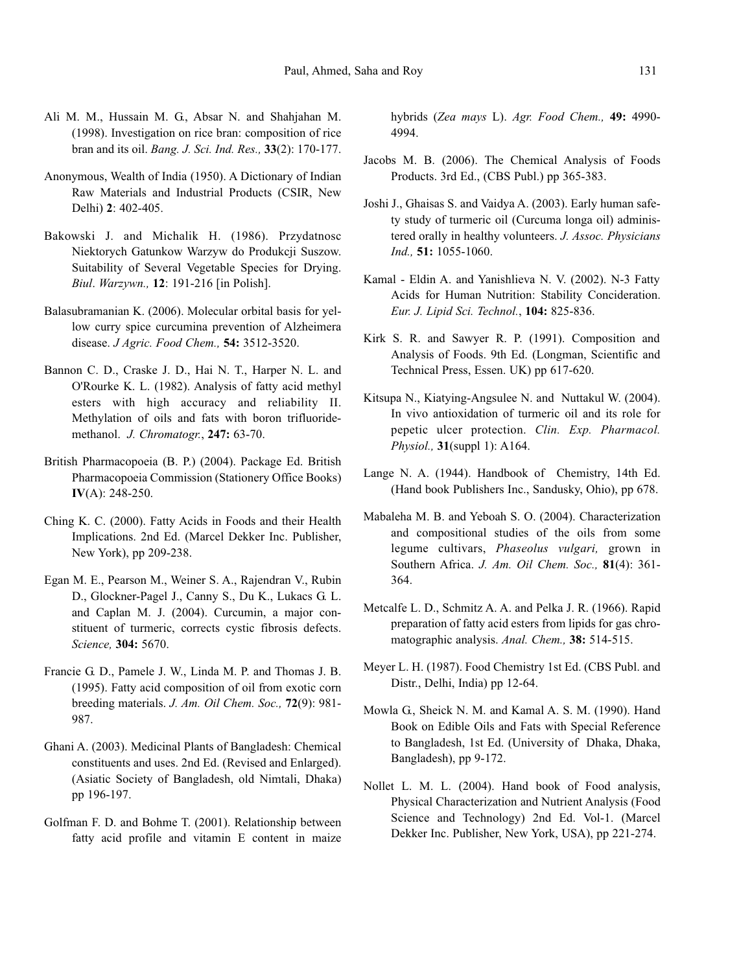- Ali M. M., Hussain M. G., Absar N. and Shahjahan M. (1998). Investigation on rice bran: composition of rice bran and its oil. *Bang. J. Sci. Ind. Res.,* **33**(2): 170-177.
- Anonymous, Wealth of India (1950). A Dictionary of Indian Raw Materials and Industrial Products (CSIR, New Delhi) **2**: 402-405.
- Bakowski J. and Michalik H. (1986). Przydatnosc Niektorych Gatunkow Warzyw do Produkcji Suszow. Suitability of Several Vegetable Species for Drying. *Biul*. *Warzywn.,* **12**: 191-216 [in Polish].
- Balasubramanian K. (2006). Molecular orbital basis for yellow curry spice curcumina prevention of Alzheimera disease. *J Agric. Food Chem.,* **54:** 3512-3520.
- Bannon C. D., Craske J. D., Hai N. T., Harper N. L. and O'Rourke K. L. (1982). Analysis of fatty acid methyl esters with high accuracy and reliability II. Methylation of oils and fats with boron trifluoridemethanol. *J. Chromatogr.*, **247:** 63-70.
- British Pharmacopoeia (B. P.) (2004). Package Ed. British Pharmacopoeia Commission (Stationery Office Books) **IV**(A): 248-250.
- Ching K. C. (2000). Fatty Acids in Foods and their Health Implications. 2nd Ed. (Marcel Dekker Inc. Publisher, New York), pp 209-238.
- Egan M. E., Pearson M., Weiner S. A., Rajendran V., Rubin D., Glockner-Pagel J., Canny S., Du K., Lukacs G. L. and Caplan M. J. (2004). Curcumin, a major constituent of turmeric, corrects cystic fibrosis defects. *Science,* **304:** 5670.
- Francie G. D., Pamele J. W., Linda M. P. and Thomas J. B. (1995). Fatty acid composition of oil from exotic corn breeding materials. *J. Am. Oil Chem. Soc.,* **72**(9): 981- 987.
- Ghani A. (2003). Medicinal Plants of Bangladesh: Chemical constituents and uses. 2nd Ed. (Revised and Enlarged). (Asiatic Society of Bangladesh, old Nimtali, Dhaka) pp 196-197.
- Golfman F. D. and Bohme T. (2001). Relationship between fatty acid profile and vitamin E content in maize

hybrids (*Zea mays* L). *Agr. Food Chem.,* **49:** 4990- 4994.

- Jacobs M. B. (2006). The Chemical Analysis of Foods Products. 3rd Ed., (CBS Publ.) pp 365-383.
- Joshi J., Ghaisas S. and Vaidya A. (2003). Early human safety study of turmeric oil (Curcuma longa oil) administered orally in healthy volunteers. *J. Assoc. Physicians Ind.,* **51:** 1055-1060.
- Kamal Eldin A. and Yanishlieva N. V. (2002). N-3 Fatty Acids for Human Nutrition: Stability Concideration. *Eur. J. Lipid Sci. Technol.*, **104:** 825-836.
- Kirk S. R. and Sawyer R. P. (1991). Composition and Analysis of Foods. 9th Ed. (Longman, Scientific and Technical Press, Essen. UK) pp 617-620.
- Kitsupa N., Kiatying-Angsulee N. and Nuttakul W. (2004). In vivo antioxidation of turmeric oil and its role for pepetic ulcer protection. *Clin. Exp. Pharmacol. Physiol.,* **31**(suppl 1): A164.
- Lange N. A. (1944). Handbook of Chemistry, 14th Ed. (Hand book Publishers Inc., Sandusky, Ohio), pp 678.
- Mabaleha M. B. and Yeboah S. O. (2004). Characterization and compositional studies of the oils from some legume cultivars, *Phaseolus vulgari,* grown in Southern Africa. *J. Am. Oil Chem. Soc.,* **81**(4): 361- 364.
- Metcalfe L. D., Schmitz A. A. and Pelka J. R. (1966). Rapid preparation of fatty acid esters from lipids for gas chromatographic analysis. *Anal. Chem.,* **38:** 514-515.
- Meyer L. H. (1987). Food Chemistry 1st Ed. (CBS Publ. and Distr., Delhi, India) pp 12-64.
- Mowla G., Sheick N. M. and Kamal A. S. M. (1990). Hand Book on Edible Oils and Fats with Special Reference to Bangladesh, 1st Ed. (University of Dhaka, Dhaka, Bangladesh), pp 9-172.
- Nollet L. M. L. (2004). Hand book of Food analysis, Physical Characterization and Nutrient Analysis (Food Science and Technology) 2nd Ed. Vol-1. (Marcel Dekker Inc. Publisher, New York, USA), pp 221-274.